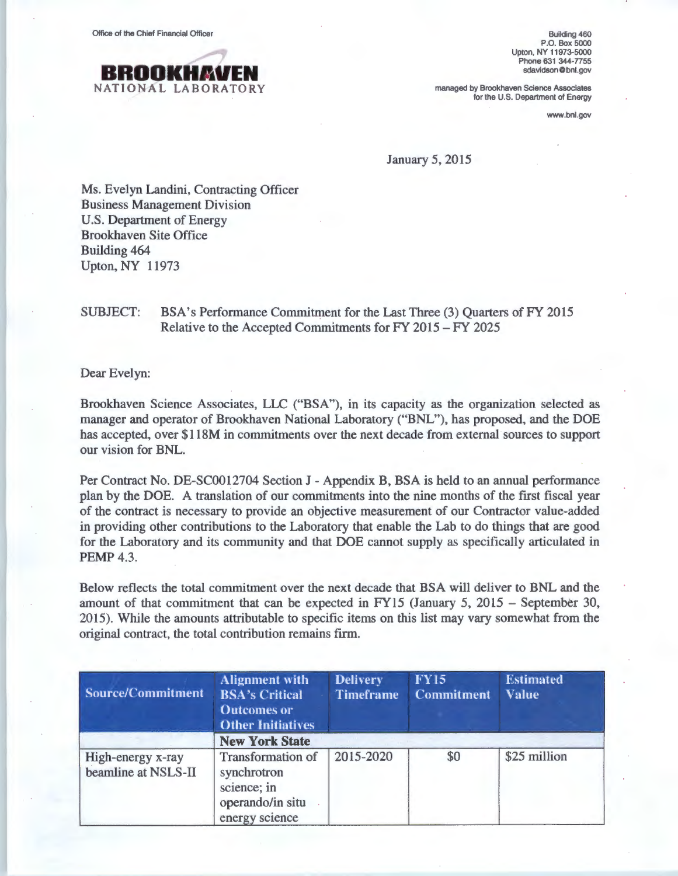Office of the Chief Financial Officer



Building 460 P.O. Box 5000 Upton, NY 11973-5000 Phone 631 344-7755 sdavidson@ bnl.gov

managed by Brookhaven Science Associates for the U.S. Department of Energy

www.bnl.gov

January 5, 2015

Ms. Evelyn Landini, Contracting Officer Business Management Division U.S. Department of Energy Brookhaven Site Office Building 464 Upton, NY 11973

## SUBJECT: BSA's Performance Commitment for the Last Three (3) Quarters of FY 2015 Relative to the Accepted Commitments for FY 2015- FY 2025

Dear Evelyn:

Brookhaven Science Associates, LLC ("BSA"), in its capacity as the organization selected as manager and operator of Brookhaven National Laboratory ("BNL"), has proposed, and the DOE has accepted, over \$118M in commitments over the next decade from external sources to support our vision for BNL.

Per Contract No. DE-SC0012704 Section J- Appendix B, BSA is held to an annual performance plan by the DOE. A translation of our commitments into the nine months of the first fiscal year of the contract is necessary to provide an objective measurement of our Contractor value-added in providing other contributions to the Laboratory that enable the Lab to do things that are good for the Laboratory and its community and that DOE cannot supply as specifically articulated in **PEMP 4.3.** 

Below reflects the total commitment over the next decade that BSA will deliver to BNL and the amount of that commitment that can be expected in FY15 (January 5, 2015 - September 30, 2015). While the amounts attributable to specific items on this list may vary somewhat from the original contract, the total contribution remains firm.

| Source/Commitment                        | <b>Alignment with</b><br><b>BSA's Critical</b><br><b>Outcomes or</b><br><b>Other Initiatives</b> | <b>Delivery</b><br><b>Timeframe</b> | <b>FY15</b><br><b>Commitment</b> | <b>Estimated</b><br><b>Value</b> |  |
|------------------------------------------|--------------------------------------------------------------------------------------------------|-------------------------------------|----------------------------------|----------------------------------|--|
|                                          | <b>New York State</b>                                                                            |                                     |                                  |                                  |  |
| High-energy x-ray<br>beamline at NSLS-II | <b>Transformation of</b><br>synchrotron<br>science; in<br>operando/in situ<br>energy science     | 2015-2020                           | \$0                              | \$25 million                     |  |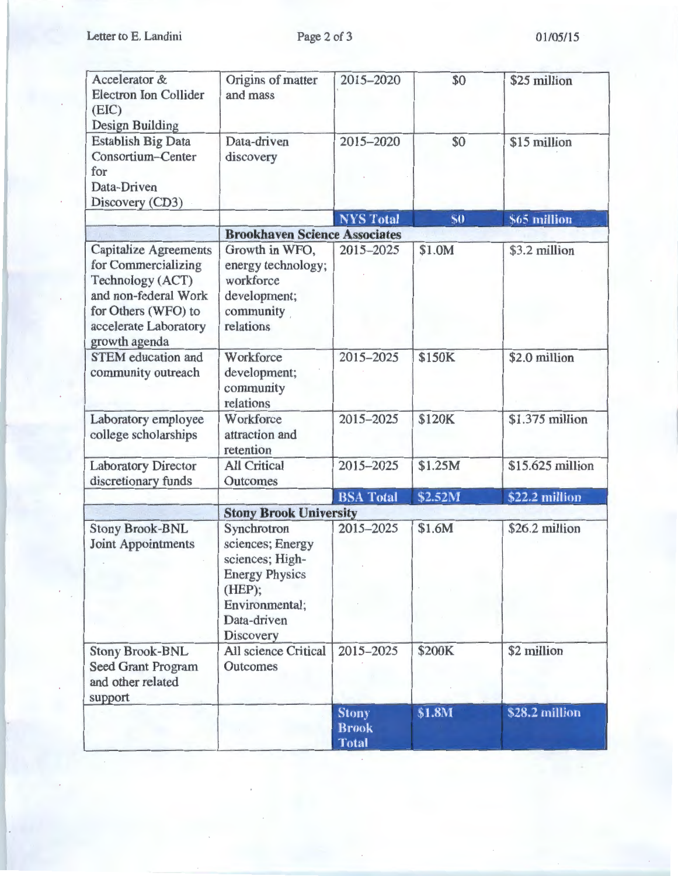Letter to E. Landini

| Accelerator &<br><b>Electron Ion Collider</b><br>(EIC)<br><b>Design Building</b>                                                                                 | Origins of matter<br>and mass                                                                                                              | 2015-2020                                    | \$0     | \$25 million     |
|------------------------------------------------------------------------------------------------------------------------------------------------------------------|--------------------------------------------------------------------------------------------------------------------------------------------|----------------------------------------------|---------|------------------|
| <b>Establish Big Data</b><br><b>Consortium-Center</b><br>for<br>Data-Driven<br>Discovery (CD3)                                                                   | Data-driven<br>discovery                                                                                                                   | 2015-2020                                    | \$0     | \$15 million     |
|                                                                                                                                                                  |                                                                                                                                            | <b>NYS Total</b>                             | \$0     | \$65 million     |
|                                                                                                                                                                  | <b>Brookhaven Science Associates</b>                                                                                                       |                                              |         |                  |
| <b>Capitalize Agreements</b><br>for Commercializing<br>Technology (ACT)<br>and non-federal Work<br>for Others (WFO) to<br>accelerate Laboratory<br>growth agenda | Growth in WFO,<br>energy technology;<br>workforce<br>development;<br>community<br>relations                                                | 2015-2025                                    | \$1.0M  | \$3.2 million    |
| <b>STEM</b> education and<br>community outreach                                                                                                                  | Workforce<br>development;<br>community<br>relations                                                                                        | 2015-2025                                    | \$150K  | \$2.0 million    |
| Laboratory employee<br>college scholarships                                                                                                                      | Workforce<br>attraction and<br>retention                                                                                                   | 2015-2025                                    | \$120K  | \$1.375 million  |
| <b>Laboratory Director</b>                                                                                                                                       | <b>All Critical</b>                                                                                                                        | 2015-2025                                    | \$1.25M | \$15.625 million |
| discretionary funds                                                                                                                                              | Outcomes                                                                                                                                   |                                              |         |                  |
|                                                                                                                                                                  |                                                                                                                                            | <b>BSA</b> Total                             | \$2.52M | \$22.2 million   |
|                                                                                                                                                                  | <b>Stony Brook University</b>                                                                                                              |                                              |         |                  |
| <b>Stony Brook-BNL</b><br>Joint Appointments                                                                                                                     | Synchrotron<br>sciences; Energy<br>sciences; High-<br><b>Energy Physics</b><br>(HEP);<br>Environmental;<br>Data-driven<br><b>Discovery</b> | 2015-2025                                    | \$1.6M  | \$26.2 million   |
| <b>Stony Brook-BNL</b><br><b>Seed Grant Program</b><br>and other related<br>support                                                                              | <b>All science Critical</b><br>Outcomes                                                                                                    | 2015-2025                                    | \$200K  | \$2 million      |
|                                                                                                                                                                  |                                                                                                                                            | <b>Stony</b><br><b>Brook</b><br><b>Total</b> | \$1.8M  | \$28.2 million   |